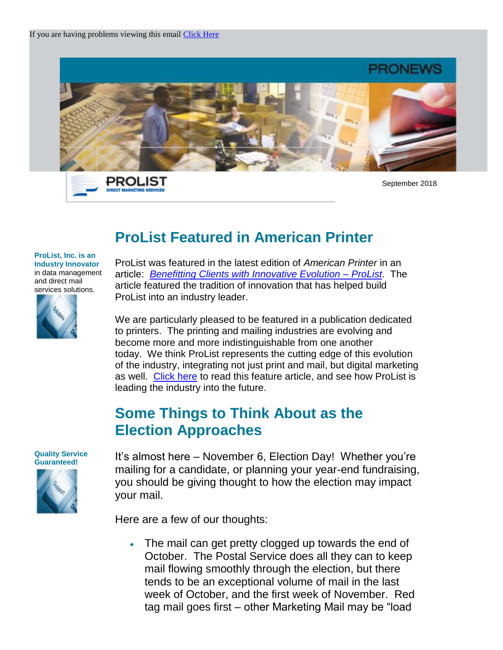

PROLIST **DIRECT MARKETING SER** 

September 2018

# **ProList Featured in American Printer**

#### **ProList, Inc. is an Industry Innovator** in data management and direct mail services solutions.



ProList was featured in the latest edition of *American Printer* in an article: *[Benefitting Clients with Innovative Evolution –](https://americanprinter.com/gen/092118-km-prolist-ampr) ProList*. The article featured the tradition of innovation that has helped build ProList into an industry leader.

We are particularly pleased to be featured in a publication dedicated to printers. The printing and mailing industries are evolving and become more and more indistinguishable from one another today. We think ProList represents the cutting edge of this evolution of the industry, integrating not just print and mail, but digital marketing as well. [Click here](https://americanprinter.com/gen/092118-km-prolist-ampr) to read this feature article, and see how ProList is leading the industry into the future.

## **Some Things to Think About as the Election Approaches**

**Quality Service Guaranteed!** 



It's almost here – November 6, Election Day! Whether you're mailing for a candidate, or planning your year-end fundraising, you should be giving thought to how the election may impact your mail.

Here are a few of our thoughts:

 The mail can get pretty clogged up towards the end of October. The Postal Service does all they can to keep mail flowing smoothly through the election, but there tends to be an exceptional volume of mail in the last week of October, and the first week of November. Red tag mail goes first – other Marketing Mail may be "load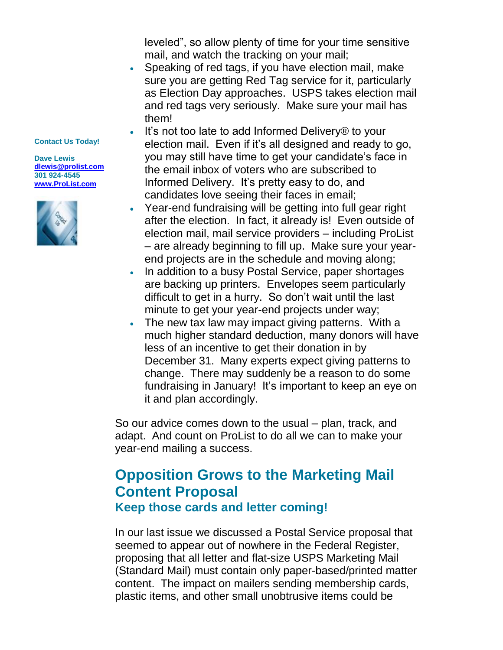leveled", so allow plenty of time for your time sensitive mail, and watch the tracking on your mail;

- Speaking of red tags, if you have election mail, make sure you are getting Red Tag service for it, particularly as Election Day approaches. USPS takes election mail and red tags very seriously. Make sure your mail has them!
- It's not too late to add Informed Delivery® to your election mail. Even if it's all designed and ready to go, you may still have time to get your candidate's face in the email inbox of voters who are subscribed to Informed Delivery. It's pretty easy to do, and candidates love seeing their faces in email;
- Year-end fundraising will be getting into full gear right after the election. In fact, it already is! Even outside of election mail, mail service providers – including ProList – are already beginning to fill up. Make sure your yearend projects are in the schedule and moving along;
- In addition to a busy Postal Service, paper shortages are backing up printers. Envelopes seem particularly difficult to get in a hurry. So don't wait until the last minute to get your year-end projects under way;
- The new tax law may impact giving patterns. With a much higher standard deduction, many donors will have less of an incentive to get their donation in by December 31. Many experts expect giving patterns to change. There may suddenly be a reason to do some fundraising in January! It's important to keep an eye on it and plan accordingly.

So our advice comes down to the usual – plan, track, and adapt. And count on ProList to do all we can to make your year-end mailing a success.

### **Opposition Grows to the Marketing Mail Content Proposal Keep those cards and letter coming!**

In our last issue we discussed a Postal Service proposal that seemed to appear out of nowhere in the Federal Register, proposing that all letter and flat-size USPS Marketing Mail (Standard Mail) must contain only paper-based/printed matter content. The impact on mailers sending membership cards, plastic items, and other small unobtrusive items could be

#### **Contact Us Today!**

**Dave Lewis [dlewis@prolist.com](mailto:dlewis@prolist.com) 301 924-4545 [www.ProList.com](http://trk.publicaster.com/click/c2f1-ujoiw-gvrhvt-73hxzcz6/)**